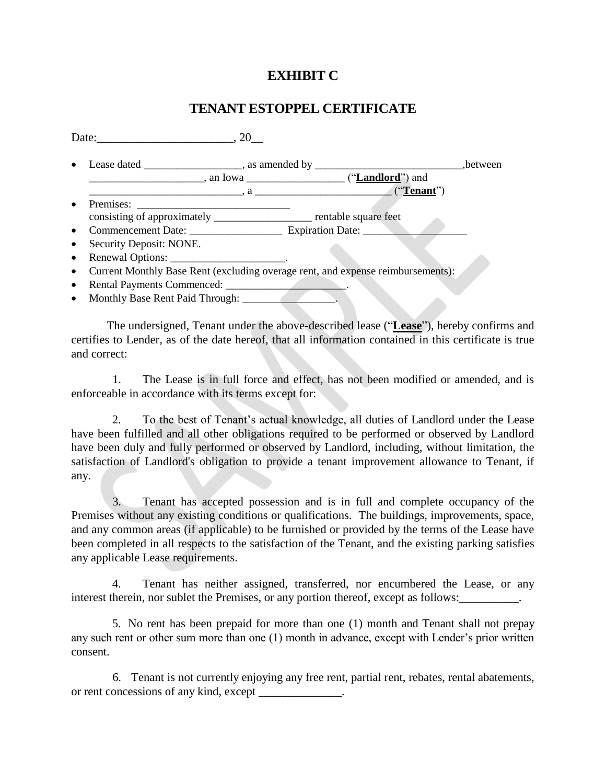## **EXHIBIT C**

## **TENANT ESTOPPEL CERTIFICATE**

Date:  $\qquad \qquad .20$ • Lease dated \_\_\_\_\_\_\_\_\_\_\_\_\_, as amended by \_\_\_\_\_\_\_\_\_\_\_\_\_\_\_\_\_\_\_\_\_\_\_\_\_\_\_\_\_\_\_,between \_\_\_\_\_\_\_\_\_\_\_\_\_\_\_\_\_\_\_\_\_, an Iowa \_\_\_\_\_\_\_\_\_\_\_\_\_\_\_\_\_\_ ("**Landlord**") and \_\_\_\_\_\_\_\_\_\_\_\_\_\_\_\_\_\_\_\_\_\_\_\_\_\_\_\_, a \_\_\_\_\_\_\_\_\_\_\_\_\_\_\_\_\_\_\_\_\_\_\_\_\_ ("**Tenant**") Premises: \_\_\_\_\_\_\_\_\_\_\_\_\_\_\_\_\_\_\_\_\_\_\_\_\_\_\_\_ consisting of approximately \_\_\_\_\_\_\_\_\_\_\_\_\_\_\_\_\_\_\_\_\_\_\_ rentable square feet Commencement Date: \_\_\_\_\_\_\_\_\_\_\_\_\_\_\_\_\_ Expiration Date: \_\_\_\_\_\_\_\_\_\_\_\_\_\_\_\_\_\_\_ • Security Deposit: NONE. • Renewal Options: Current Monthly Base Rent (excluding overage rent, and expense reimbursements):

- Rental Payments Commenced: \_\_\_\_\_\_\_\_\_\_\_\_\_\_\_\_\_\_\_\_\_\_\_\_\_\_\_.
- Monthly Base Rent Paid Through:

The undersigned, Tenant under the above-described lease ("**Lease**"), hereby confirms and certifies to Lender, as of the date hereof, that all information contained in this certificate is true and correct:

1. The Lease is in full force and effect, has not been modified or amended, and is enforceable in accordance with its terms except for:

2. To the best of Tenant's actual knowledge, all duties of Landlord under the Lease have been fulfilled and all other obligations required to be performed or observed by Landlord have been duly and fully performed or observed by Landlord, including, without limitation, the satisfaction of Landlord's obligation to provide a tenant improvement allowance to Tenant, if any.

3. Tenant has accepted possession and is in full and complete occupancy of the Premises without any existing conditions or qualifications. The buildings, improvements, space, and any common areas (if applicable) to be furnished or provided by the terms of the Lease have been completed in all respects to the satisfaction of the Tenant, and the existing parking satisfies any applicable Lease requirements.

4. Tenant has neither assigned, transferred, nor encumbered the Lease, or any interest therein, nor sublet the Premises, or any portion thereof, except as follows:

5. No rent has been prepaid for more than one (1) month and Tenant shall not prepay any such rent or other sum more than one (1) month in advance, except with Lender's prior written consent.

6. Tenant is not currently enjoying any free rent, partial rent, rebates, rental abatements, or rent concessions of any kind, except \_\_\_\_\_\_\_\_\_\_\_.